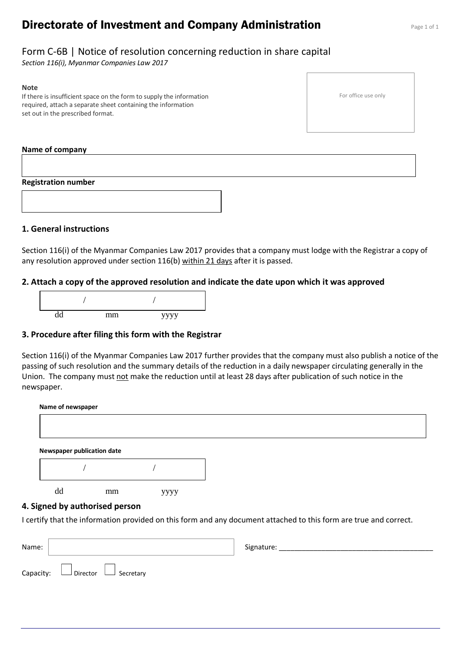# **Directorate of Investment and Company Administration** Page 1 of 1

# Form C-6B | Notice of resolution concerning reduction in share capital

*Section 116(i), Myanmar Companies Law 2017*

#### **Note**

If there is insufficient space on the form to supply the information required, attach a separate sheet containing the information set out in the prescribed format.

#### **Name of company**

#### **Registration number**



## **1. General instructions**

Section 116(i) of the Myanmar Companies Law 2017 provides that a company must lodge with the Registrar a copy of any resolution approved under section 116(b) within 21 days after it is passed.

## **2. Attach a copy of the approved resolution and indicate the date upon which it was approved**



## **3. Procedure after filing this form with the Registrar**

Section 116(i) of the Myanmar Companies Law 2017 further provides that the company must also publish a notice of the passing of such resolution and the summary details of the reduction in a daily newspaper circulating generally in the Union. The company must not make the reduction until at least 28 days after publication of such notice in the newspaper.

| Name of newspaper          |                                |      |                                                                                                                   |
|----------------------------|--------------------------------|------|-------------------------------------------------------------------------------------------------------------------|
|                            |                                |      |                                                                                                                   |
|                            |                                |      |                                                                                                                   |
| Newspaper publication date |                                |      |                                                                                                                   |
|                            |                                |      |                                                                                                                   |
| dd                         | mm                             | уууу |                                                                                                                   |
|                            | 4. Signed by authorised person |      |                                                                                                                   |
|                            |                                |      | I certify that the information provided on this form and any document attached to this form are true and correct. |

| Name:                                      | Signature: |
|--------------------------------------------|------------|
| Capacity: $\Box$ Director $\Box$ Secretary |            |

For office use only